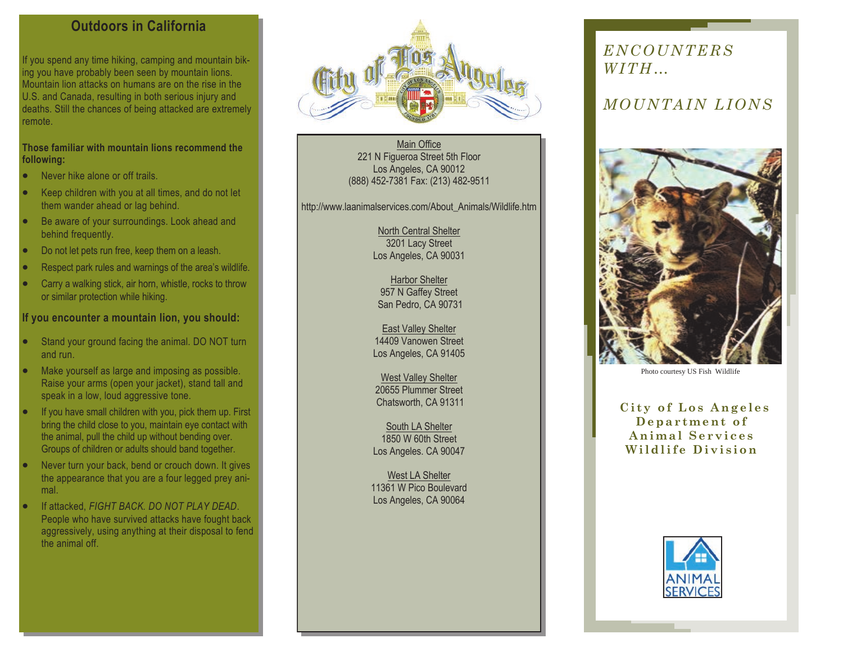## **Outdoors in California**

If you spend any time hiking, camping and mountain biking you have probably been seen by mountain lions. Mountain lion attacks on humans are on the rise in the U.S. and Canada, resulting in both serious injury and deaths. Still the chances of being attacked are extremely remote.

### **Those familiar with mountain lions recommend the following:**

- Never hike alone or off trails.
- Keep children with you at all times, and do not let them wander ahead or lag behind.
- Be aware of your surroundings. Look ahead and behind frequently.
- Do not let pets run free, keep them on a leash.
- Respect park rules and warnings of the area's wildlife.
- Carry a walking stick, air horn, whistle, rocks to throw or similar protection while hiking.

### **If you encounter a mountain lion, you should:**

- Stand your ground facing the animal. DO NOT turn and run.
- Make yourself as large and imposing as possible. Raise your arms (open your jacket), stand tall and speak in a low, loud aggressive tone.
- If you have small children with you, pick them up. First bring the child close to you, maintain eye contact with the animal, pull the child up without bending over. Groups of children or adults should band together.
- Never turn your back, bend or crouch down. It gives the appearance that you are a four legged prey animal.
- If attacked, *FIGHT BACK. DO NOT PLAY DEAD*. People who have survived attacks have fought back aggressively, using anything at their disposal to fend the animal off.



Main Office 221 N Figueroa Street 5th Floor Los Angeles, CA 90012 (888) 452-7381 Fax: (213) 482-9511

http://www.laanimalservices.com/About\_Animals/Wildlife.htm

North Central Shelter 3201 Lacy Street Los Angeles, CA 90031

Harbor Shelter 957 N Gaffey Street San Pedro, CA 90731

East Valley Shelter 14409 Vanowen Street Los Angeles, CA 91405

West Valley Shelter 20655 Plummer Street Chatsworth, CA 91311

South LA Shelter 1850 W 60th Street Los Angeles. CA 90047

West LA Shelter 11361 W Pico Boulevard Los Angeles, CA 90064

# *ENC O UNTE RS W I TH…*

# *MOUNTAIN LIONS*



Photo courtesy US Fish Wildlife

**City of Los Angeles D e p a r t m e n t o f A n i m a l S e r v i c e s W i l d l i f e D i v i s i o n**